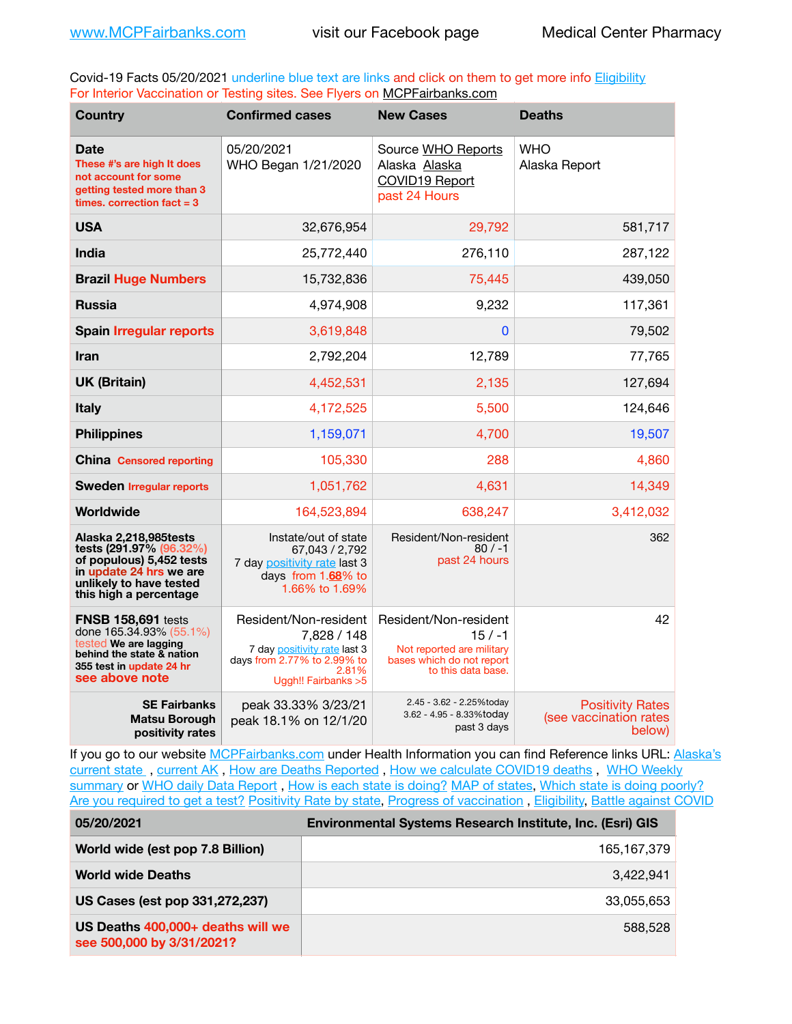Covid-19 Facts 05/20/2021 underline blue text are links and click on them to get more info **Eligibility** For Interior Vaccination or Testing sites. See Flyers on [MCPFairbanks.com](http://www.MCPFairbanks.com)

| <b>Country</b>                                                                                                                                                | <b>Confirmed cases</b>                                                                                                               | <b>New Cases</b>                                                                                                  | <b>Deaths</b>                                               |
|---------------------------------------------------------------------------------------------------------------------------------------------------------------|--------------------------------------------------------------------------------------------------------------------------------------|-------------------------------------------------------------------------------------------------------------------|-------------------------------------------------------------|
| <b>Date</b><br>These #'s are high It does<br>not account for some<br>getting tested more than 3<br>times, correction fact $= 3$                               | 05/20/2021<br>WHO Began 1/21/2020                                                                                                    | Source WHO Reports<br>Alaska Alaska<br><b>COVID19 Report</b><br>past 24 Hours                                     | <b>WHO</b><br>Alaska Report                                 |
| <b>USA</b>                                                                                                                                                    | 32,676,954                                                                                                                           | 29,792                                                                                                            | 581,717                                                     |
| <b>India</b>                                                                                                                                                  | 25,772,440                                                                                                                           | 276,110                                                                                                           | 287,122                                                     |
| <b>Brazil Huge Numbers</b>                                                                                                                                    | 15,732,836                                                                                                                           | 75,445                                                                                                            | 439,050                                                     |
| <b>Russia</b>                                                                                                                                                 | 4.974.908                                                                                                                            | 9,232                                                                                                             | 117,361                                                     |
| <b>Spain Irregular reports</b>                                                                                                                                | 3,619,848                                                                                                                            | $\Omega$                                                                                                          | 79,502                                                      |
| <b>Iran</b>                                                                                                                                                   | 2,792,204                                                                                                                            | 12,789                                                                                                            | 77,765                                                      |
| <b>UK (Britain)</b>                                                                                                                                           | 4,452,531                                                                                                                            | 2,135                                                                                                             | 127,694                                                     |
| <b>Italy</b>                                                                                                                                                  | 4,172,525                                                                                                                            | 5,500                                                                                                             | 124,646                                                     |
| <b>Philippines</b>                                                                                                                                            | 1,159,071                                                                                                                            | 4,700                                                                                                             | 19,507                                                      |
| <b>China Censored reporting</b>                                                                                                                               | 105,330                                                                                                                              | 288                                                                                                               | 4,860                                                       |
| <b>Sweden Irregular reports</b>                                                                                                                               | 1,051,762                                                                                                                            | 4,631                                                                                                             | 14,349                                                      |
| Worldwide                                                                                                                                                     | 164,523,894                                                                                                                          | 638,247                                                                                                           | 3,412,032                                                   |
| Alaska 2,218,985 tests<br>tests (291.97% (96.32%)<br>of populous) 5,452 tests<br>in update 24 hrs we are<br>unlikely to have tested<br>this high a percentage | Instate/out of state<br>67,043 / 2,792<br>7 day positivity rate last 3<br>days from 1.68% to<br>1.66% to 1.69%                       | Resident/Non-resident<br>$80/ -1$<br>past 24 hours                                                                | 362                                                         |
| <b>FNSB 158,691 tests</b><br>done 165.34.93% (55.1%)<br>tested We are lagging<br>behind the state & nation<br>355 test in update 24 hr<br>see above note      | Resident/Non-resident<br>7,828 / 148<br>7 day positivity rate last 3<br>days from 2.77% to 2.99% to<br>2.81%<br>Uggh!! Fairbanks > 5 | Resident/Non-resident<br>$15/ -1$<br>Not reported are military<br>bases which do not report<br>to this data base. | 42                                                          |
| <b>SE Fairbanks</b><br><b>Matsu Borough</b><br>positivity rates                                                                                               | peak 33.33% 3/23/21<br>peak 18.1% on 12/1/20                                                                                         | 2.45 - 3.62 - 2.25%today<br>3.62 - 4.95 - 8.33%today<br>past 3 days                                               | <b>Positivity Rates</b><br>(see vaccination rates<br>below) |

If you go to our website [MCPFairbanks.com](http://www.MCPFairbanks.com) under Health Information you can find Reference links URL: Alaska's [current state](https://coronavirus-response-alaska-dhss.hub.arcgis.com) , [current AK](http://dhss.alaska.gov/dph/Epi/id/Pages/COVID-19/communications.aspx#cases) , [How are Deaths Reported](http://dhss.alaska.gov/dph/Epi/id/Pages/COVID-19/deathcounts.aspx) , [How we calculate COVID19 deaths](https://coronavirus-response-alaska-dhss.hub.arcgis.com/search?collection=Document&groupIds=41ccb3344ebc4bd682c74073eba21f42) , [WHO Weekly](http://www.who.int)  [summary](http://www.who.int) or [WHO daily Data Report](https://covid19.who.int/table), [How is each state is doing?](https://www.msn.com/en-us/news/us/state-by-state-coronavirus-news/ar-BB13E1PX?fbclid=IwAR0_OBJH7lSyTN3ug_MsOeFnNgB1orTa9OBgilKJ7dhnwlVvHEsptuKkj1c) [MAP of states,](https://www.nationalgeographic.com/science/graphics/graphic-tracking-coronavirus-infections-us?cmpid=org=ngp::mc=crm-email::src=ngp::cmp=editorial::add=SpecialEdition_20210305&rid=B9A6DF5992658E8E35CE023113CFEA4C) [Which state is doing poorly?](https://bestlifeonline.com/covid-outbreak-your-state/?utm_source=nsltr&utm_medium=email&utm_content=covid-outbreak-your-state&utm_campaign=launch) [Are you required to get a test?](http://dhss.alaska.gov/dph/Epi/id/SiteAssets/Pages/HumanCoV/Whattodoafteryourtest.pdf) [Positivity Rate by state](https://coronavirus.jhu.edu/testing/individual-states/alaska), Progress of vaccination, [Eligibility,](http://dhss.alaska.gov/dph/Epi/id/Pages/COVID-19/VaccineAvailability.aspx) [Battle against COVID](https://www.nationalgeographic.com/science/graphics/graphic-tracking-coronavirus-infections-us?cmpid=org=ngp::mc=crm-email::src=ngp::cmp=editorial::add=SpecialEdition_20210219&rid=B9A6DF5992658E8E35CE023113CFEA4C)

| 05/20/2021                                                     | Environmental Systems Research Institute, Inc. (Esri) GIS |
|----------------------------------------------------------------|-----------------------------------------------------------|
| World wide (est pop 7.8 Billion)                               | 165.167.379                                               |
| <b>World wide Deaths</b>                                       | 3.422.941                                                 |
| US Cases (est pop 331,272,237)                                 | 33.055.653                                                |
| US Deaths 400,000+ deaths will we<br>see 500,000 by 3/31/2021? | 588,528                                                   |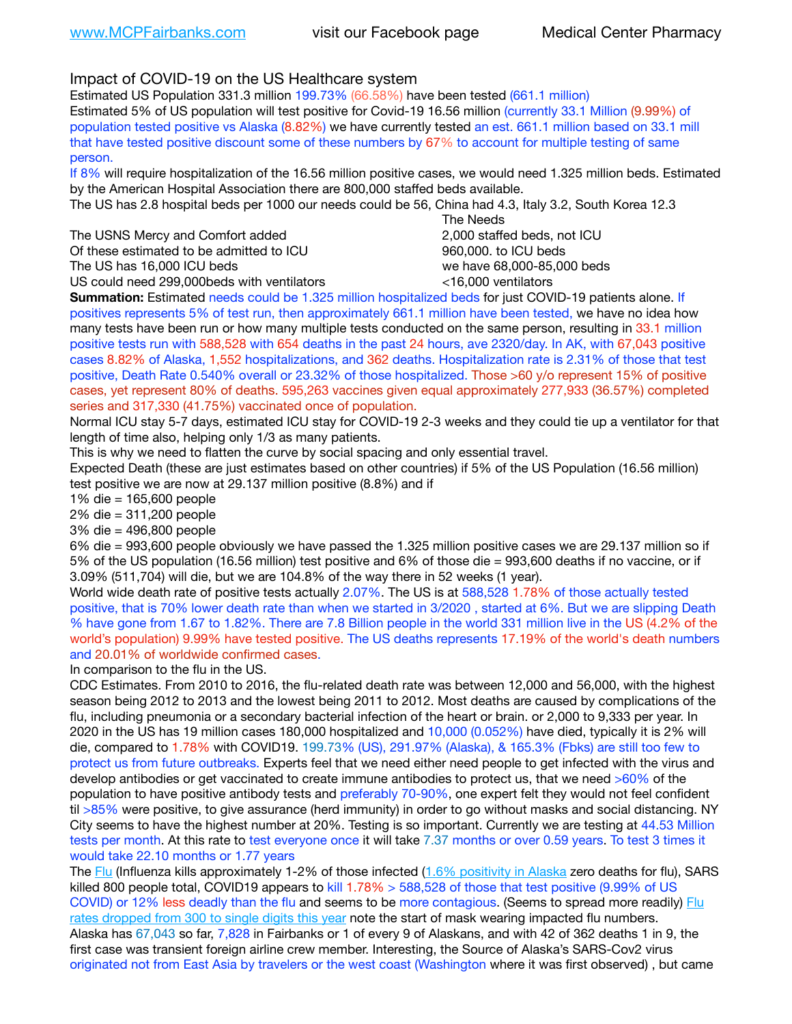Impact of COVID-19 on the US Healthcare system

Estimated US Population 331.3 million 199.73% (66.58%) have been tested (661.1 million) Estimated 5% of US population will test positive for Covid-19 16.56 million (currently 33.1 Million (9.99%) of population tested positive vs Alaska (8.82%) we have currently tested an est. 661.1 million based on 33.1 mill that have tested positive discount some of these numbers by 67% to account for multiple testing of same person.

If 8% will require hospitalization of the 16.56 million positive cases, we would need 1.325 million beds. Estimated by the American Hospital Association there are 800,000 staffed beds available.

The US has 2.8 hospital beds per 1000 our needs could be 56, China had 4.3, Italy 3.2, South Korea 12.3

The USNS Mercy and Comfort added **8.1.2.1.2.1.2.000** staffed beds, not ICU Of these estimated to be admitted to ICU 860,000. to ICU beds The US has 16,000 ICU beds we have 68,000-85,000 beds

US could need 299,000beds with ventilators <16,000 ventilators

 The Needs

**Summation:** Estimated needs could be 1.325 million hospitalized beds for just COVID-19 patients alone. If positives represents 5% of test run, then approximately 661.1 million have been tested, we have no idea how many tests have been run or how many multiple tests conducted on the same person, resulting in 33.1 million positive tests run with 588,528 with 654 deaths in the past 24 hours, ave 2320/day. In AK, with 67,043 positive cases 8.82% of Alaska, 1,552 hospitalizations, and 362 deaths. Hospitalization rate is 2.31% of those that test positive, Death Rate 0.540% overall or 23.32% of those hospitalized. Those >60 y/o represent 15% of positive cases, yet represent 80% of deaths. 595,263 vaccines given equal approximately 277,933 (36.57%) completed series and 317,330 (41.75%) vaccinated once of population.

Normal ICU stay 5-7 days, estimated ICU stay for COVID-19 2-3 weeks and they could tie up a ventilator for that length of time also, helping only 1/3 as many patients.

This is why we need to flatten the curve by social spacing and only essential travel.

Expected Death (these are just estimates based on other countries) if 5% of the US Population (16.56 million) test positive we are now at 29.137 million positive (8.8%) and if

1% die = 165,600 people

2% die = 311,200 people

3% die = 496,800 people

6% die = 993,600 people obviously we have passed the 1.325 million positive cases we are 29.137 million so if 5% of the US population (16.56 million) test positive and 6% of those die = 993,600 deaths if no vaccine, or if 3.09% (511,704) will die, but we are 104.8% of the way there in 52 weeks (1 year).

World wide death rate of positive tests actually 2.07%. The US is at 588,528 1.78% of those actually tested positive, that is 70% lower death rate than when we started in 3/2020 , started at 6%. But we are slipping Death % have gone from 1.67 to 1.82%. There are 7.8 Billion people in the world 331 million live in the US (4.2% of the world's population) 9.99% have tested positive. The US deaths represents 17.19% of the world's death numbers and 20.01% of worldwide confirmed cases.

In comparison to the flu in the US.

CDC Estimates. From 2010 to 2016, the flu-related death rate was between 12,000 and 56,000, with the highest season being 2012 to 2013 and the lowest being 2011 to 2012. Most deaths are caused by complications of the flu, including pneumonia or a secondary bacterial infection of the heart or brain. or 2,000 to 9,333 per year. In 2020 in the US has 19 million cases 180,000 hospitalized and 10,000 (0.052%) have died, typically it is 2% will die, compared to 1.78% with COVID19. 199.73% (US), 291.97% (Alaska), & 165.3% (Fbks) are still too few to protect us from future outbreaks. Experts feel that we need either need people to get infected with the virus and develop antibodies or get vaccinated to create immune antibodies to protect us, that we need >60% of the population to have positive antibody tests and preferably 70-90%, one expert felt they would not feel confident til >85% were positive, to give assurance (herd immunity) in order to go without masks and social distancing. NY City seems to have the highest number at 20%. Testing is so important. Currently we are testing at 44.53 Million tests per month. At this rate to test everyone once it will take 7.37 months or over 0.59 years. To test 3 times it would take 22.10 months or 1.77 years

The [Flu](https://lnks.gd/l/eyJhbGciOiJIUzI1NiJ9.eyJidWxsZXRpbl9saW5rX2lkIjoxMDMsInVyaSI6ImJwMjpjbGljayIsImJ1bGxldGluX2lkIjoiMjAyMTAyMjYuMzYwNDA3NTEiLCJ1cmwiOiJodHRwczovL3d3dy5jZGMuZ292L2ZsdS93ZWVrbHkvb3ZlcnZpZXcuaHRtIn0.ePMA_hsZ-pTnhWSyg1gHvHWYTu2XceVOt0JejxvP1WE/s/500544915/br/98428119752-l) (Influenza kills approximately 1-2% of those infected ([1.6% positivity in Alaska](http://dhss.alaska.gov/dph/Epi/id/SiteAssets/Pages/influenza/trends/Snapshot.pdf) zero deaths for flu), SARS killed 800 people total, COVID19 appears to kill 1.78% > 588,528 of those that test positive (9.99% of US COVID) or 12% less deadly than the flu and seems to be more contagious. (Seems to spread more readily) Flu [rates dropped from 300 to single digits this year](https://lnks.gd/l/eyJhbGciOiJIUzI1NiJ9.eyJidWxsZXRpbl9saW5rX2lkIjoxMDEsInVyaSI6ImJwMjpjbGljayIsImJ1bGxldGluX2lkIjoiMjAyMTAyMjYuMzYwNDA3NTEiLCJ1cmwiOiJodHRwOi8vZGhzcy5hbGFza2EuZ292L2RwaC9FcGkvaWQvUGFnZXMvaW5mbHVlbnphL2ZsdWluZm8uYXNweCJ9.oOe3nt2fww6XpsNhb4FZfmtPfPa-irGaldpkURBJhSo/s/500544915/br/98428119752-l) note the start of mask wearing impacted flu numbers. Alaska has 67,043 so far, 7,828 in Fairbanks or 1 of every 9 of Alaskans, and with 42 of 362 deaths 1 in 9, the first case was transient foreign airline crew member. Interesting, the Source of Alaska's SARS-Cov2 virus originated not from East Asia by travelers or the west coast (Washington where it was first observed) , but came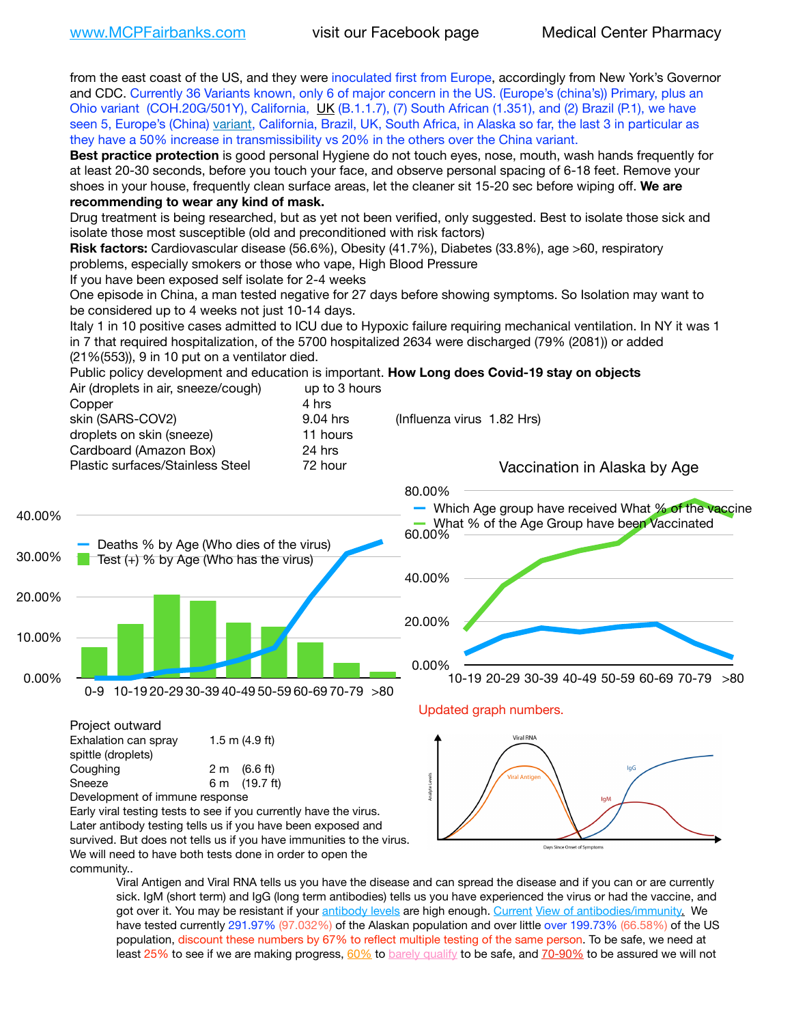from the east coast of the US, and they were inoculated first from Europe, accordingly from New York's Governor and CDC. Currently 36 Variants known, only 6 of major concern in the US. (Europe's (china's)) Primary, plus an Ohio variant (COH.20G/501Y), California, [UK](https://www.cdc.gov/coronavirus/2019-ncov/transmission/variant-cases.html) (B.1.1.7), (7) South African (1.351), and (2) Brazil (P.1), we have seen 5, Europe's (China) [variant,](https://www.webmd.com/lung/news/20210318/cdc-who-create-threat-levels-for-covid-variants?ecd=wnl_cvd_031921&ctr=wnl-cvd-031921&mb=kYbf7DsHb7YGjh/1RUkcAW0T6iorImAU1TDZh18RYs0=_Support_titleLink_2) California, Brazil, UK, South Africa, in Alaska so far, the last 3 in particular as they have a 50% increase in transmissibility vs 20% in the others over the China variant. **Best practice protection** is good personal Hygiene do not touch eyes, nose, mouth, wash hands frequently for at least 20-30 seconds, before you touch your face, and observe personal spacing of 6-18 feet. Remove your shoes in your house, frequently clean surface areas, let the cleaner sit 15-20 sec before wiping off. **We are recommending to wear any kind of mask.** Drug treatment is being researched, but as yet not been verified, only suggested. Best to isolate those sick and isolate those most susceptible (old and preconditioned with risk factors) **Risk factors:** Cardiovascular disease (56.6%), Obesity (41.7%), Diabetes (33.8%), age >60, respiratory problems, especially smokers or those who vape, High Blood Pressure If you have been exposed self isolate for 2-4 weeks One episode in China, a man tested negative for 27 days before showing symptoms. So Isolation may want to be considered up to 4 weeks not just 10-14 days. Italy 1 in 10 positive cases admitted to ICU due to Hypoxic failure requiring mechanical ventilation. In NY it was 1 in 7 that required hospitalization, of the 5700 hospitalized 2634 were discharged (79% (2081)) or added (21%(553)), 9 in 10 put on a ventilator died. Public policy development and education is important. **How Long does Covid-19 stay on objects** Air (droplets in air, sneeze/cough) up to 3 hours Copper 4 hrs skin (SARS-COV2) 9.04 hrs (Influenza virus 1.82 Hrs) droplets on skin (sneeze) 11 hours Cardboard (Amazon Box) 24 hrs Plastic surfaces/Stainless Steel 72 hour Vaccination in Alaska by Age 80.00% Which Age group have received What % of the vaccine 40.00% What % of the Age Group have been Vaccinated 60.00% Deaths % by Age (Who dies of the virus) 30.00%  $\blacksquare$  Test (+) % by Age (Who has the virus) 40.00% 20.00% 20.00% 10.00% 0.00% 0.00% 10-19 20-29 30-39 40-49 50-59 60-69 70-79 >80 0-9 10-19 20-29 30-39 40-49 50-59 60-69 70-79 >80 Updated graph numbers. Project outward **Viral RNA** Exhalation can spray 1.5 m (4.9 ft) spittle (droplets) Coughing 2 m (6.6 ft) Sneeze 6 m (19.7 ft) Development of immune response Early viral testing tests to see if you currently have the virus. Later antibody testing tells us if you have been exposed and survived. But does not tells us if you have immunities to the virus. Days Since Onset of Symp

We will need to have both tests done in order to open the community..

Viral Antigen and Viral RNA tells us you have the disease and can spread the disease and if you can or are currently sick. IgM (short term) and IgG (long term antibodies) tells us you have experienced the virus or had the vaccine, and got over it. You may be resistant if your [antibody levels](https://www.cdc.gov/coronavirus/2019-ncov/lab/resources/antibody-tests.html) are high enough. [Current](https://l.facebook.com/l.php?u=https://www.itv.com/news/2020-10-26/covid-19-antibody-levels-reduce-over-time-study-finds?fbclid=IwAR3Dapzh1qIH1EIOdUQI2y8THf7jfA4KBCaJz8Qg-8xe1YsrR4nsAHDIXSY&h=AT30nut8pkqp0heVuz5W2rT2WFFm-2Ab52BsJxZZCNlGsX58IpPkuVEPULbIUV_M16MAukx1Kwb657DPXxsgDN1rpOQ4gqBtQsmVYiWpnHPJo2RQsU6CPMd14lgLnQnFWxfVi6zvmw&__tn__=-UK-R&c%5B0%5D=AT1GaRAfR_nGAyqcn7TI1-PpvqOqEKXHnz6TDWvRStMnOSH7boQDvTiwTOc6VId9UES6LKiOmm2m88wKCoolkJyOFvakt2Z1Mw8toYWGGoWW23r0MNVBl7cYJXB_UOvGklNHaNnaNr1_S7NhT3BSykNOBg) [View of antibodies/immunity](https://www.livescience.com/antibodies.html)[.](https://www.itv.com/news/2020-10-26/covid-19-antibody-levels-reduce-over-time-study-finds) We have tested currently 291.97% (97.032%) of the Alaskan population and over little over 199.73% (66.58%) of the US population, discount these numbers by 67% to reflect multiple testing of the same person. To be safe, we need at least 25% to see if we are making progress,  $60\%$  to [barely qualify](https://www.nature.com/articles/d41586-020-02948-4) to be safe, and [70-90%](https://www.mayoclinic.org/herd-immunity-and-coronavirus/art-20486808) to be assured we will not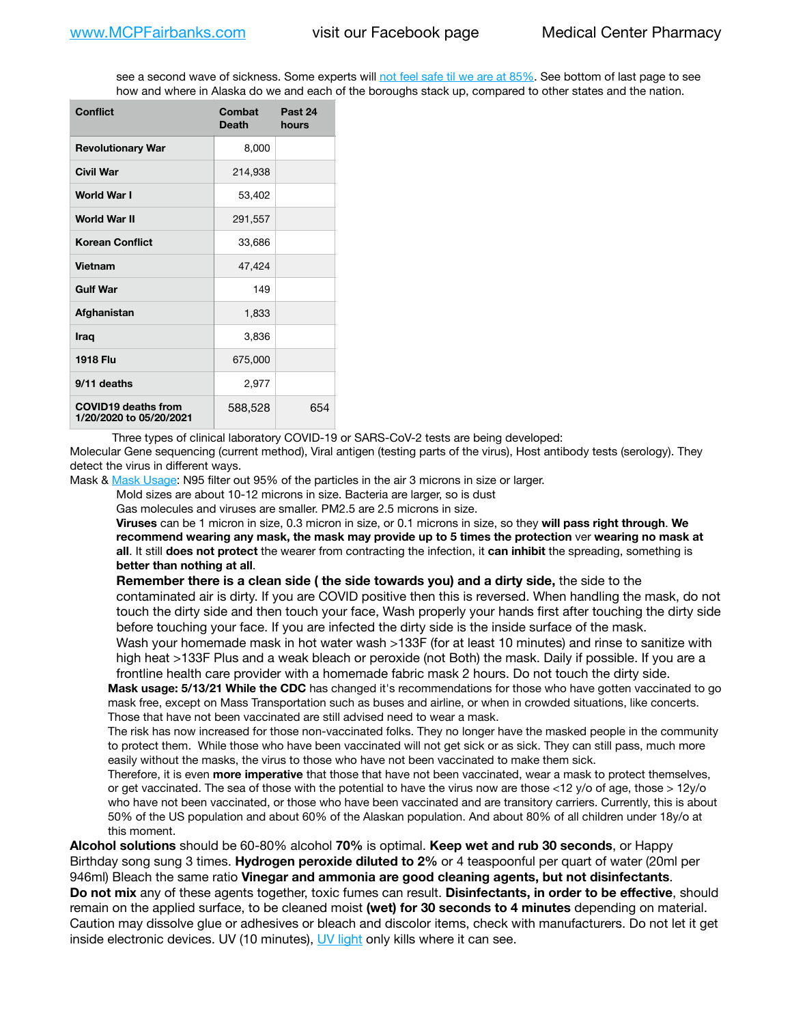see a second wave of sickness. Some experts will [not feel safe til we are at 85%](https://www.bannerhealth.com/healthcareblog/teach-me/what-is-herd-immunity). See bottom of last page to see how and where in Alaska do we and each of the boroughs stack up, compared to other states and the nation.

| <b>Conflict</b>                                       | Combat<br>Death | Past 24<br>hours |
|-------------------------------------------------------|-----------------|------------------|
| <b>Revolutionary War</b>                              | 8,000           |                  |
| <b>Civil War</b>                                      | 214,938         |                  |
| World War I                                           | 53,402          |                  |
| World War II                                          | 291,557         |                  |
| <b>Korean Conflict</b>                                | 33,686          |                  |
| <b>Vietnam</b>                                        | 47,424          |                  |
| <b>Gulf War</b>                                       | 149             |                  |
| Afghanistan                                           | 1,833           |                  |
| <b>Iraq</b>                                           | 3,836           |                  |
| 1918 Flu                                              | 675,000         |                  |
| 9/11 deaths                                           | 2,977           |                  |
| <b>COVID19 deaths from</b><br>1/20/2020 to 05/20/2021 | 588,528         | 654              |

Three types of clinical laboratory COVID-19 or SARS-CoV-2 tests are being developed:

Molecular Gene sequencing (current method), Viral antigen (testing parts of the virus), Host antibody tests (serology). They detect the virus in different ways.

Mask & [Mask Usage:](https://www.nationalgeographic.com/history/2020/03/how-cities-flattened-curve-1918-spanish-flu-pandemic-coronavirus/) N95 filter out 95% of the particles in the air 3 microns in size or larger.

Mold sizes are about 10-12 microns in size. Bacteria are larger, so is dust

Gas molecules and viruses are smaller. PM2.5 are 2.5 microns in size.

**Viruses** can be 1 micron in size, 0.3 micron in size, or 0.1 microns in size, so they **will pass right through**. **We recommend wearing any mask, the mask may provide up to 5 times the protection** ver **wearing no mask at all**. It still **does not protect** the wearer from contracting the infection, it **can inhibit** the spreading, something is **better than nothing at all**.

**Remember there is a clean side ( the side towards you) and a dirty side,** the side to the contaminated air is dirty. If you are COVID positive then this is reversed. When handling the mask, do not touch the dirty side and then touch your face, Wash properly your hands first after touching the dirty side before touching your face. If you are infected the dirty side is the inside surface of the mask.

Wash your homemade mask in hot water wash >133F (for at least 10 minutes) and rinse to sanitize with high heat >133F Plus and a weak bleach or peroxide (not Both) the mask. Daily if possible. If you are a frontline health care provider with a homemade fabric mask 2 hours. Do not touch the dirty side.

**Mask usage: 5/13/21 While the CDC** has changed it's recommendations for those who have gotten vaccinated to go mask free, except on Mass Transportation such as buses and airline, or when in crowded situations, like concerts. Those that have not been vaccinated are still advised need to wear a mask.

The risk has now increased for those non-vaccinated folks. They no longer have the masked people in the community to protect them. While those who have been vaccinated will not get sick or as sick. They can still pass, much more easily without the masks, the virus to those who have not been vaccinated to make them sick.

Therefore, it is even **more imperative** that those that have not been vaccinated, wear a mask to protect themselves, or get vaccinated. The sea of those with the potential to have the virus now are those <12 y/o of age, those >  $12y$ /o who have not been vaccinated, or those who have been vaccinated and are transitory carriers. Currently, this is about 50% of the US population and about 60% of the Alaskan population. And about 80% of all children under 18y/o at this moment.

**Alcohol solutions** should be 60-80% alcohol **70%** is optimal. **Keep wet and rub 30 seconds**, or Happy Birthday song sung 3 times. **Hydrogen peroxide diluted to 2%** or 4 teaspoonful per quart of water (20ml per 946ml) Bleach the same ratio **Vinegar and ammonia are good cleaning agents, but not disinfectants**. **Do not mix** any of these agents together, toxic fumes can result. **Disinfectants, in order to be effective**, should remain on the applied surface, to be cleaned moist **(wet) for 30 seconds to 4 minutes** depending on material. Caution may dissolve glue or adhesives or bleach and discolor items, check with manufacturers. Do not let it get inside electronic devices. UV (10 minutes), [UV light](http://www.docreviews.me/best-uv-boxes-2020/?fbclid=IwAR3bvFtXB48OoBBSvYvTEnKuHNPbipxM6jUo82QUSw9wckxjC7wwRZWabGw) only kills where it can see.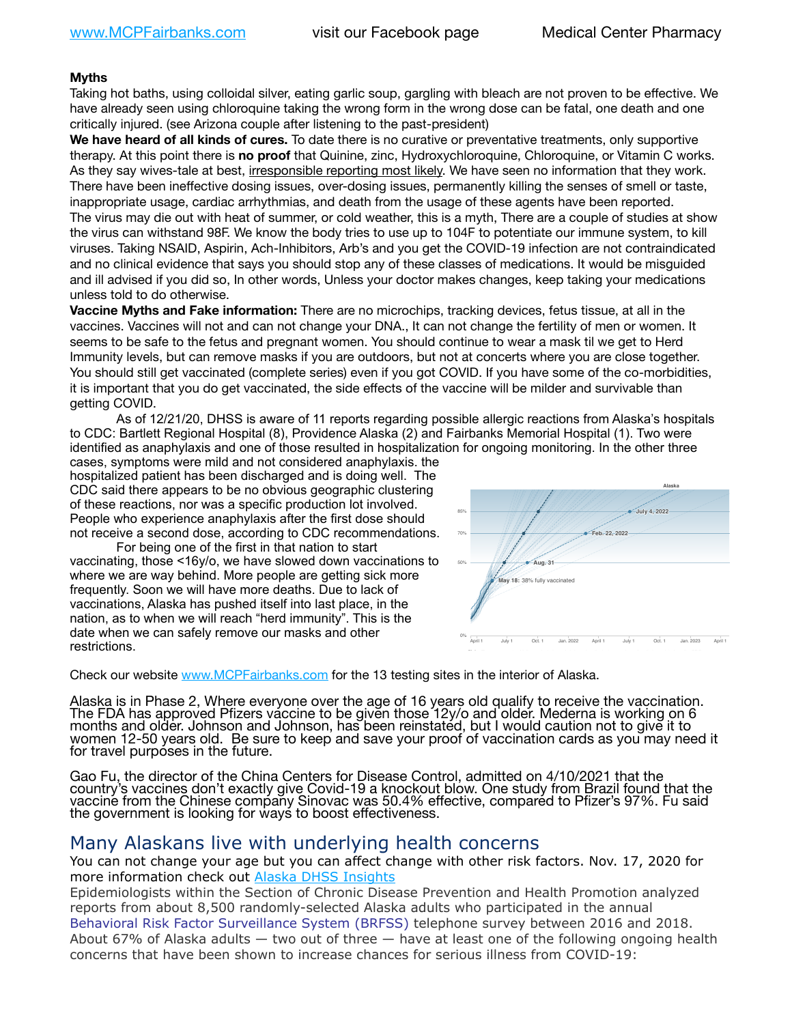## **Myths**

Taking hot baths, using colloidal silver, eating garlic soup, gargling with bleach are not proven to be effective. We have already seen using chloroquine taking the wrong form in the wrong dose can be fatal, one death and one critically injured. (see Arizona couple after listening to the past-president)

**We have heard of all kinds of cures.** To date there is no curative or preventative treatments, only supportive therapy. At this point there is **no proof** that Quinine, zinc, Hydroxychloroquine, Chloroquine, or Vitamin C works. As they say wives-tale at best, irresponsible reporting most likely. We have seen no information that they work. There have been ineffective dosing issues, over-dosing issues, permanently killing the senses of smell or taste, inappropriate usage, cardiac arrhythmias, and death from the usage of these agents have been reported. The virus may die out with heat of summer, or cold weather, this is a myth, There are a couple of studies at show the virus can withstand 98F. We know the body tries to use up to 104F to potentiate our immune system, to kill viruses. Taking NSAID, Aspirin, Ach-Inhibitors, Arb's and you get the COVID-19 infection are not contraindicated and no clinical evidence that says you should stop any of these classes of medications. It would be misguided and ill advised if you did so, In other words, Unless your doctor makes changes, keep taking your medications unless told to do otherwise.

**Vaccine Myths and Fake information:** There are no microchips, tracking devices, fetus tissue, at all in the vaccines. Vaccines will not and can not change your DNA., It can not change the fertility of men or women. It seems to be safe to the fetus and pregnant women. You should continue to wear a mask til we get to Herd Immunity levels, but can remove masks if you are outdoors, but not at concerts where you are close together. You should still get vaccinated (complete series) even if you got COVID. If you have some of the co-morbidities, it is important that you do get vaccinated, the side effects of the vaccine will be milder and survivable than survival getting COVID.

As of 12/21/20, DHSS is aware of 11 reports regarding possible allergic reactions from Alaska's hospitals to CDC: Bartlett Regional Hospital (8), Providence Alaska (2) and Fairbanks Memorial Hospital (1). Two were identified as anaphylaxis and one of those resulted in hospitalization for ongoing monitoring. In the other three

cases, symptoms were mild and not considered anaphylaxis. the hospitalized patient has been discharged and is doing well. The CDC said there appears to be no obvious geographic clustering of these reactions, nor was a specific production lot involved. People who experience anaphylaxis after the first dose should not receive a second dose, according to CDC recommendations.

For being one of the first in that nation to start vaccinating, those <16y/o, we have slowed down vaccinations to where we are way behind. More people are getting sick more frequently. Soon we will have more deaths. Due to lack of vaccinations, Alaska has pushed itself into last place, in the nation, as to when we will reach "herd immunity". This is the date when we can safely remove our masks and other restrictions.

Check our website [www.MCPFairbanks.com](http://www.MCPFairbanks.com) for the 13 testing sites in the interior of Alaska.

Alaska is in Phase 2, Where everyone over the age of 16 years old qualify to receive the vaccination. The FDA has approved Pfizers vaccine to be given those 12y/o and older. Mederna is working on 6 months and older. Johnson and Johnson, has been reinstated, but I would caution not to give it to women 12-50 years old. Be sure to keep and save your proof of vaccination cards as you may need it for travel purposes in the future.

Gao Fu, the director of the China Centers for Disease Control, admitted on 4/10/2021 that the country's vaccines don't exactly give Covid-19 a knockout blow. One study from Brazil found that the vaccine from the Chinese company Sinovac was 50.4% effective, compared to Pfizer's 97%. Fu said the government is looking for ways to boost effectiveness.

## Many Alaskans live with underlying health concerns

You can not change your age but you can affect change with other risk factors. Nov. 17, 2020 for more information check out [Alaska DHSS Insights](http://dhss.alaska.gov/dph/Epi/id/Pages/COVID-19/blog/20201117.aspx)

Epidemiologists within the Section of Chronic Disease Prevention and Health Promotion analyzed reports from about 8,500 randomly-selected Alaska adults who participated in the annual [Behavioral Risk Factor Surveillance System \(BRFSS\)](http://dhss.alaska.gov/dph/Chronic/Pages/brfss/default.aspx) telephone survey between 2016 and 2018. About 67% of Alaska adults — two out of three — have at least one of the following ongoing health concerns that have been shown to increase chances for serious illness from COVID-19:

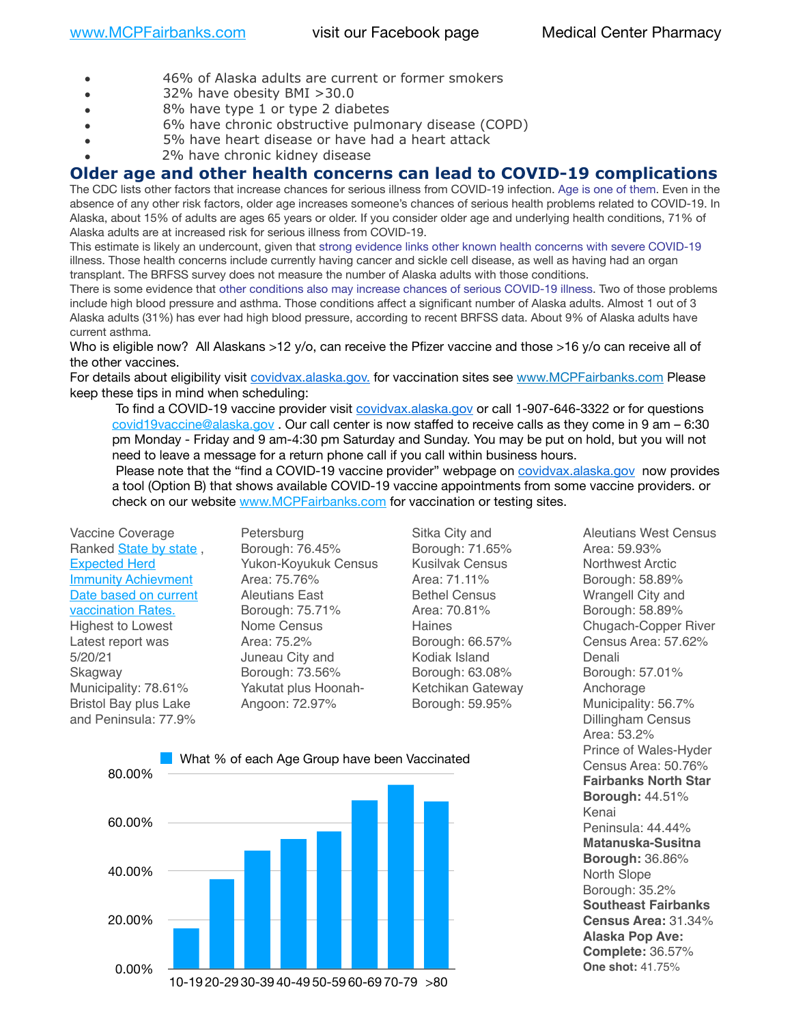- 46% of Alaska adults are current or former smokers
- 32% have obesity BMI >30.0
- 8% have type 1 or type 2 diabetes
- 6% have chronic obstructive pulmonary disease (COPD)
- 5% have heart disease or have had a heart attack
- 2% have chronic kidney disease

## **Older age and other health concerns can lead to COVID-19 complications**

The CDC lists other factors that increase chances for serious illness from COVID-19 infection. [Age is one of them](https://www.cdc.gov/coronavirus/2019-ncov/need-extra-precautions/older-adults.html). Even in the absence of any other risk factors, older age increases someone's chances of serious health problems related to COVID-19. In Alaska, about 15% of adults are ages 65 years or older. If you consider older age and underlying health conditions, 71% of Alaska adults are at increased risk for serious illness from COVID-19.

This estimate is likely an undercount, given that [strong evidence links other known health concerns with severe COVID-19](https://www.cdc.gov/coronavirus/2019-ncov/need-extra-precautions/people-with-medical-conditions.html) illness. Those health concerns include currently having cancer and sickle cell disease, as well as having had an organ transplant. The BRFSS survey does not measure the number of Alaska adults with those conditions.

There is some evidence that [other conditions also may increase chances of serious COVID-19 illness](https://www.cdc.gov/coronavirus/2019-ncov/need-extra-precautions/evidence-table.html). Two of those problems include high blood pressure and asthma. Those conditions affect a significant number of Alaska adults. Almost 1 out of 3 Alaska adults (31%) has ever had high blood pressure, according to recent BRFSS data. About 9% of Alaska adults have current asthma.

Who is eligible now? All Alaskans >12 y/o, can receive the Pfizer vaccine and those >16 y/o can receive all of the other vaccines.

For details about eligibility visit [covidvax.alaska.gov.](https://lnks.gd/l/eyJhbGciOiJIUzI1NiJ9.eyJidWxsZXRpbl9saW5rX2lkIjoxMDYsInVyaSI6ImJwMjpjbGljayIsImJ1bGxldGluX2lkIjoiMjAyMTAxMjguMzQwODU3NjEiLCJ1cmwiOiJodHRwOi8vZGhzcy5hbGFza2EuZ292L2RwaC9FcGkvaWQvUGFnZXMvQ09WSUQtMTkvdmFjY2luZS5hc3B4In0.-Xwhl42jAWOMS7ewfS85uxwrwjohCso3Sb81DuDKtxU/s/500544915/br/93796640171-l) for vaccination sites see [www.MCPFairbanks.com](http://www.MCPFairbanks.com) Please keep these tips in mind when scheduling:

To find a COVID-19 vaccine provider visit [covidvax.](https://lnks.gd/l/eyJhbGciOiJIUzI1NiJ9.eyJidWxsZXRpbl9saW5rX2lkIjoxMDIsInVyaSI6ImJwMjpjbGljayIsImJ1bGxldGluX2lkIjoiMjAyMTAxMjguMzQwODU3NjEiLCJ1cmwiOiJodHRwOi8vZGhzcy5hbGFza2EuZ292L2RwaC9lcGkvaWQvcGFnZXMvQ09WSUQtMTkvdmFjY2luZS5hc3B4In0.3lB9AwQLSotqjuYfrd8IohnH6uCxI7nPK3n32c6HU3Y/s/500544915/br/93796640171-l)[alaska.gov](https://lnks.gd/l/eyJhbGciOiJIUzI1NiJ9.eyJidWxsZXRpbl9saW5rX2lkIjoxMDMsInVyaSI6ImJwMjpjbGljayIsImJ1bGxldGluX2lkIjoiMjAyMTAxMjguMzQwODU3NjEiLCJ1cmwiOiJodHRwOi8vZGhzcy5hbGFza2EuZ292L2RwaC9lcGkvaWQvcGFnZXMvQ09WSUQtMTkvdmFjY2luZS5hc3B4In0.YgwDsPWrLKTangJFkEdvbgIFdm7fSYBuyX35eevV-64/s/500544915/br/93796640171-l) or call 1-907-646-3322 or for questions [covid19vaccine@alaska.gov](mailto:covid19vaccine@alaska.gov?subject=COVID19%20Vaccine%20questions) . Our call center is now staffed to receive calls as they come in 9 am – 6:30 pm Monday - Friday and 9 am-4:30 pm Saturday and Sunday. You may be put on hold, but you will not need to leave a message for a return phone call if you call within business hours.

Please note that the "find a COVID-19 vaccine provider" webpage on [covidvax.](https://lnks.gd/l/eyJhbGciOiJIUzI1NiJ9.eyJidWxsZXRpbl9saW5rX2lkIjoxMDQsInVyaSI6ImJwMjpjbGljayIsImJ1bGxldGluX2lkIjoiMjAyMTAxMjguMzQwODU3NjEiLCJ1cmwiOiJodHRwOi8vZGhzcy5hbGFza2EuZ292L2RwaC9lcGkvaWQvcGFnZXMvQ09WSUQtMTkvdmFjY2luZS5hc3B4In0.RKcjf2yNpNLP4aXfSBT5T2amzgApUQ-lu4vqx8Pz53o/s/500544915/br/93796640171-l)[alaska.gov](https://lnks.gd/l/eyJhbGciOiJIUzI1NiJ9.eyJidWxsZXRpbl9saW5rX2lkIjoxMDUsInVyaSI6ImJwMjpjbGljayIsImJ1bGxldGluX2lkIjoiMjAyMTAxMjguMzQwODU3NjEiLCJ1cmwiOiJodHRwOi8vZGhzcy5hbGFza2EuZ292L2RwaC9lcGkvaWQvcGFnZXMvQ09WSUQtMTkvdmFjY2luZS5hc3B4In0.LNwu2x_DbADesP2Q_t5XKHgz8yGCzZOolCPQMoFu5G4/s/500544915/br/93796640171-l) now provides a tool (Option B) that shows available COVID-19 vaccine appointments from some vaccine providers. or check on our website [www.MCPFairbanks.com](http://www.MCPFairbanks.com) for vaccination or testing sites.

Vaccine Coverage Ranked [State by state](https://www.npr.org/sections/health-shots/2021/01/28/960901166/how-is-the-covid-19-vaccination-campaign-going-in-your-state), [Expected Herd](https://www.npr.org/sections/health-shots/2021/01/28/960901166/how-is-the-covid-19-vaccination-campaign-going-in-your-state)  [Immunity Achievment](https://www.npr.org/sections/health-shots/2021/01/28/960901166/how-is-the-covid-19-vaccination-campaign-going-in-your-state)  [Date based on current](https://www.npr.org/sections/health-shots/2021/01/28/960901166/how-is-the-covid-19-vaccination-campaign-going-in-your-state)  [vaccination Rates.](https://www.npr.org/sections/health-shots/2021/01/28/960901166/how-is-the-covid-19-vaccination-campaign-going-in-your-state) Highest to Lowest Latest report was 5/20/21 **Skagway** Municipality: 78.61% Bristol Bay plus Lake and Peninsula: 77.9%

**Petersburg** Borough: 76.45% Yukon-Koyukuk Census Area: 75.76% Aleutians East Borough: 75.71% Nome Census Area: 75.2% Juneau City and Borough: 73.56% Yakutat plus Hoonah-Angoon: 72.97%

Sitka City and Borough: 71.65% Kusilvak Census Area: 71.11% Bethel Census Area: 70.81% Haines Borough: 66.57% Kodiak Island Borough: 63.08% Ketchikan Gateway Borough: 59.95%



Aleutians West Census Area: 59.93% Northwest Arctic Borough: 58.89% Wrangell City and Borough: 58.89% Chugach-Copper River Census Area: 57.62% Denali Borough: 57.01% Anchorage Municipality: 56.7% Dillingham Census Area: 53.2% Prince of Wales-Hyder Census Area: 50.76% **Fairbanks North Star Borough:** 44.51% Kenai Peninsula: 44.44% **Matanuska-Susitna Borough:** 36.86% North Slope Borough: 35.2% **Southeast Fairbanks Census Area:** 31.34% **Alaska Pop Ave: Complete:** 36.57%